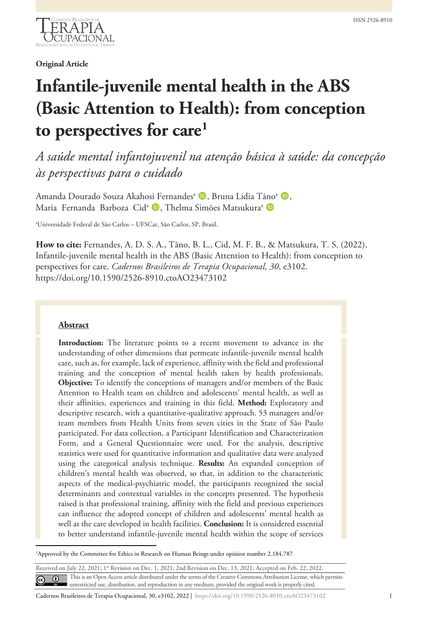

**Original Article**

# **Infantile-juvenile mental health in the ABS (Basic Attention to Health): from conception to perspectives for care[1](#page-12-0)**

*A saúde mental infantojuvenil na atenção básica à saúde: da concepção às perspectivas para o cuidado*

Amanda Dourado Souza Akahosi Fernandes<sup>a</sup> D, Bruna Lidia Tãno<sup>a</sup> D, Maria Fernanda Barboza Cid<sup>a</sup> D, Thelma Simões Matsukura<sup>a</sup> D

a Universidade Federal de São Carlos – UFSCar, São Carlos, SP, Brasil.

**How to cite:** Fernandes, A. D. S. A., Tãno, B. L., Cid, M. F. B., & Matsukura, T. S. (2022). Infantile-juvenile mental health in the ABS (Basic Attention to Health): from conception to perspectives for care. *Cadernos Brasileiros de Terapia Ocupacional, 30*, e3102. https://doi.org/10.1590/2526-8910.ctoAO23473102

## **Abstract**

**Introduction:** The literature points to a recent movement to advance in the understanding of other dimensions that permeate infantile-juvenile mental health care, such as, for example, lack of experience, affinity with the field and professional training and the conception of mental health taken by health professionals. **Objective:** To identify the conceptions of managers and/or members of the Basic Attention to Health team on children and adolescents' mental health, as well as their affinities, experiences and training in this field. **Method:** Exploratory and descriptive research, with a quantitative-qualitative approach. 53 managers and/or team members from Health Units from seven cities in the State of São Paulo participated. For data collection, a Participant Identification and Characterization Form, and a General Questionnaire were used. For the analysis, descriptive statistics were used for quantitative information and qualitative data were analyzed using the categorical analysis technique. **Results:** An expanded conception of children's mental health was observed, so that, in addition to the characteristic aspects of the medical-psychiatric model, the participants recognized the social determinants and contextual variables in the concepts presented. The hypothesis raised is that professional training, affinity with the field and previous experiences can influence the adopted concept of children and adolescents' mental health as well as the care developed in health facilities. **Conclusion:** It is considered essential to better understand infantile-juvenile mental health within the scope of services

Received on July 22, 2021; 1<sup>st</sup> Revision on Dec. 1, 2021; 2nd Revision on Dec. 13, 2021; Accepted on Feb. 22, 2022. This is an Open Access article distributed under the terms of the Creative Commons Attribution License, which permits  $\odot$  $\left($ unrestricted use, distribution, and reproduction in any medium, provided the original work is properly cited.

Cadernos Brasileiros de Terapia Ocupacional, 30, e3102, 2022 | https://doi.org/10.1590/2526-8910.ctoAO23473102 1

<sup>1</sup> Approved by the Committee for Ethics in Research on Human Beings under opinion number 2.184.787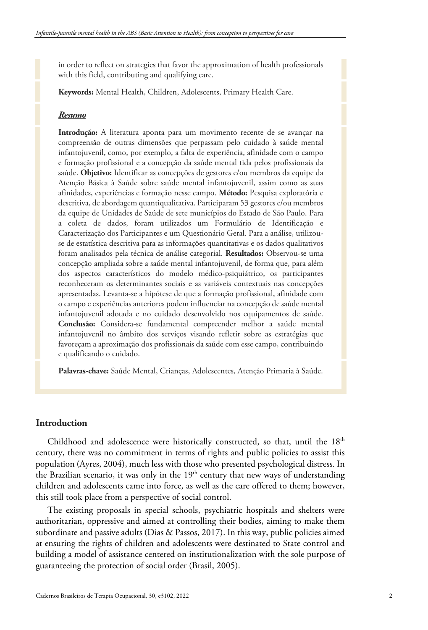in order to reflect on strategies that favor the approximation of health professionals with this field, contributing and qualifying care.

**Keywords:** Mental Health, Children, Adolescents, Primary Health Care.

### *Resumo*

**Introdução:** A literatura aponta para um movimento recente de se avançar na compreensão de outras dimensões que perpassam pelo cuidado à saúde mental infantojuvenil, como, por exemplo, a falta de experiência, afinidade com o campo e formação profissional e a concepção da saúde mental tida pelos profissionais da saúde. **Objetivo:** Identificar as concepções de gestores e/ou membros da equipe da Atenção Básica à Saúde sobre saúde mental infantojuvenil, assim como as suas afinidades, experiências e formação nesse campo. **Método:** Pesquisa exploratória e descritiva, de abordagem quantiqualitativa. Participaram 53 gestores e/ou membros da equipe de Unidades de Saúde de sete municípios do Estado de São Paulo. Para a coleta de dados, foram utilizados um Formulário de Identificação e Caracterização dos Participantes e um Questionário Geral. Para a análise, utilizouse de estatística descritiva para as informações quantitativas e os dados qualitativos foram analisados pela técnica de análise categorial. **Resultados:** Observou-se uma concepção ampliada sobre a saúde mental infantojuvenil, de forma que, para além dos aspectos característicos do modelo médico-psiquiátrico, os participantes reconheceram os determinantes sociais e as variáveis contextuais nas concepções apresentadas. Levanta-se a hipótese de que a formação profissional, afinidade com o campo e experiências anteriores podem influenciar na concepção de saúde mental infantojuvenil adotada e no cuidado desenvolvido nos equipamentos de saúde. **Conclusão:** Considera-se fundamental compreender melhor a saúde mental infantojuvenil no âmbito dos serviços visando refletir sobre as estratégias que favoreçam a aproximação dos profissionais da saúde com esse campo, contribuindo e qualificando o cuidado.

**Palavras-chave:** Saúde Mental, Crianças, Adolescentes, Atenção Primaria à Saúde.

# **Introduction**

Childhood and adolescence were historically constructed, so that, until the  $18<sup>th</sup>$ century, there was no commitment in terms of rights and public policies to assist this population (Ayres, 2004), much less with those who presented psychological distress. In the Brazilian scenario, it was only in the  $19<sup>th</sup>$  century that new ways of understanding children and adolescents came into force, as well as the care offered to them; however, this still took place from a perspective of social control.

The existing proposals in special schools, psychiatric hospitals and shelters were authoritarian, oppressive and aimed at controlling their bodies, aiming to make them subordinate and passive adults (Dias & Passos, 2017). In this way, public policies aimed at ensuring the rights of children and adolescents were destinated to State control and building a model of assistance centered on institutionalization with the sole purpose of guaranteeing the protection of social order (Brasil, 2005).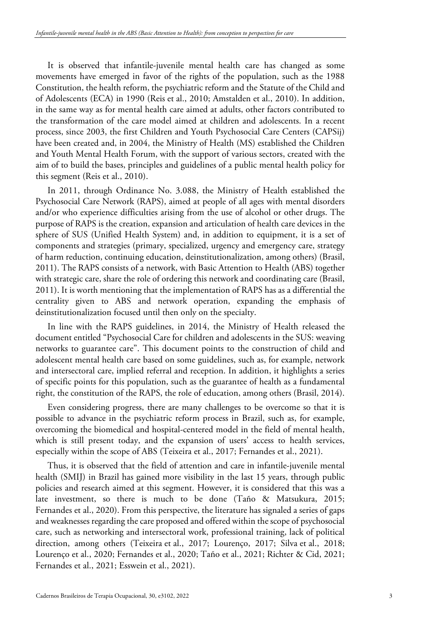It is observed that infantile-juvenile mental health care has changed as some movements have emerged in favor of the rights of the population, such as the 1988 Constitution, the health reform, the psychiatric reform and the Statute of the Child and of Adolescents (ECA) in 1990 (Reis et al., 2010; Amstalden et al., 2010). In addition, in the same way as for mental health care aimed at adults, other factors contributed to the transformation of the care model aimed at children and adolescents. In a recent process, since 2003, the first Children and Youth Psychosocial Care Centers (CAPSij) have been created and, in 2004, the Ministry of Health (MS) established the Children and Youth Mental Health Forum, with the support of various sectors, created with the aim of to build the bases, principles and guidelines of a public mental health policy for this segment (Reis et al., 2010).

In 2011, through Ordinance No. 3.088, the Ministry of Health established the Psychosocial Care Network (RAPS), aimed at people of all ages with mental disorders and/or who experience difficulties arising from the use of alcohol or other drugs. The purpose of RAPS is the creation, expansion and articulation of health care devices in the sphere of SUS (Unified Health System) and, in addition to equipment, it is a set of components and strategies (primary, specialized, urgency and emergency care, strategy of harm reduction, continuing education, deinstitutionalization, among others) (Brasil, 2011). The RAPS consists of a network, with Basic Attention to Health (ABS) together with strategic care, share the role of ordering this network and coordinating care (Brasil, 2011). It is worth mentioning that the implementation of RAPS has as a differential the centrality given to ABS and network operation, expanding the emphasis of deinstitutionalization focused until then only on the specialty.

In line with the RAPS guidelines, in 2014, the Ministry of Health released the document entitled "Psychosocial Care for children and adolescents in the SUS: weaving networks to guarantee care". This document points to the construction of child and adolescent mental health care based on some guidelines, such as, for example, network and intersectoral care, implied referral and reception. In addition, it highlights a series of specific points for this population, such as the guarantee of health as a fundamental right, the constitution of the RAPS, the role of education, among others (Brasil, 2014).

Even considering progress, there are many challenges to be overcome so that it is possible to advance in the psychiatric reform process in Brazil, such as, for example, overcoming the biomedical and hospital-centered model in the field of mental health, which is still present today, and the expansion of users' access to health services, especially within the scope of ABS (Teixeira et al., 2017; Fernandes et al., 2021).

Thus, it is observed that the field of attention and care in infantile-juvenile mental health (SMIJ) in Brazil has gained more visibility in the last 15 years, through public policies and research aimed at this segment. However, it is considered that this was a late investment, so there is much to be done (Taño & Matsukura, 2015; Fernandes et al., 2020). From this perspective, the literature has signaled a series of gaps and weaknesses regarding the care proposed and offered within the scope of psychosocial care, such as networking and intersectoral work, professional training, lack of political direction, among others (Teixeira et al., 2017; Lourenço, 2017; Silva et al., 2018; Lourenço et al., 2020; Fernandes et al., 2020; Taño et al., 2021; Richter & Cid, 2021; Fernandes et al., 2021; Esswein et al., 2021).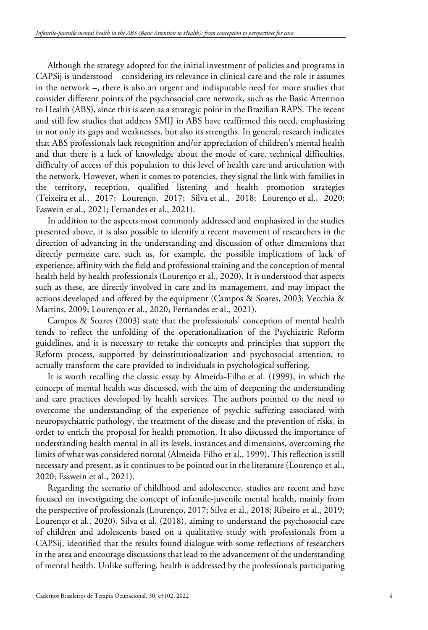Although the strategy adopted for the initial investment of policies and programs in CAPSij is understood – considering its relevance in clinical care and the role it assumes in the network –, there is also an urgent and indisputable need for more studies that consider different points of the psychosocial care network, such as the Basic Attention to Health (ABS), since this is seen as a strategic point in the Brazilian RAPS. The recent and still few studies that address SMIJ in ABS have reaffirmed this need, emphasizing in not only its gaps and weaknesses, but also its strengths. In general, research indicates that ABS professionals lack recognition and/or appreciation of children's mental health and that there is a lack of knowledge about the mode of care, technical difficulties, difficulty of access of this population to this level of health care and articulation with the network. However, when it comes to potencies, they signal the link with families in the territory, reception, qualified listening and health promotion strategies (Teixeira et al., 2017; Lourenço, 2017; Silva et al., 2018; Lourenço et al., 2020; Esswein et al., 2021; Fernandes et al., 2021).

In addition to the aspects most commonly addressed and emphasized in the studies presented above, it is also possible to identify a recent movement of researchers in the direction of advancing in the understanding and discussion of other dimensions that directly permeate care, such as, for example, the possible implications of lack of experience, affinity with the field and professional training and the conception of mental health held by health professionals (Lourenço et al., 2020). It is understood that aspects such as these, are directly involved in care and its management, and may impact the actions developed and offered by the equipment (Campos & Soares, 2003; Vecchia & Martins, 2009; Lourenço et al., 2020; Fernandes et al., 2021).

Campos & Soares (2003) state that the professionals' conception of mental health tends to reflect the unfolding of the operationalization of the Psychiatric Reform guidelines, and it is necessary to retake the concepts and principles that support the Reform process, supported by deinstitutionalization and psychosocial attention, to actually transform the care provided to individuals in psychological suffering.

It is worth recalling the classic essay by Almeida-Filho et al. (1999), in which the concept of mental health was discussed, with the aim of deepening the understanding and care practices developed by health services. The authors pointed to the need to overcome the understanding of the experience of psychic suffering associated with neuropsychiatric pathology, the treatment of the disease and the prevention of risks, in order to enrich the proposal for health promotion. It also discussed the importance of understanding health mental in all its levels, instances and dimensions, overcoming the limits of what was considered normal (Almeida-Filho et al., 1999). This reflection is still necessary and present, as it continues to be pointed out in the literature (Lourenço et al., 2020; Esswein et al., 2021).

Regarding the scenario of childhood and adolescence, studies are recent and have focused on investigating the concept of infantile-juvenile mental health, mainly from the perspective of professionals (Lourenço, 2017; Silva et al., 2018; Ribeiro et al., 2019; Lourenço et al., 2020). Silva et al. (2018), aiming to understand the psychosocial care of children and adolescents based on a qualitative study with professionals from a CAPSij, identified that the results found dialogue with some reflections of researchers in the area and encourage discussions that lead to the advancement of the understanding of mental health. Unlike suffering, health is addressed by the professionals participating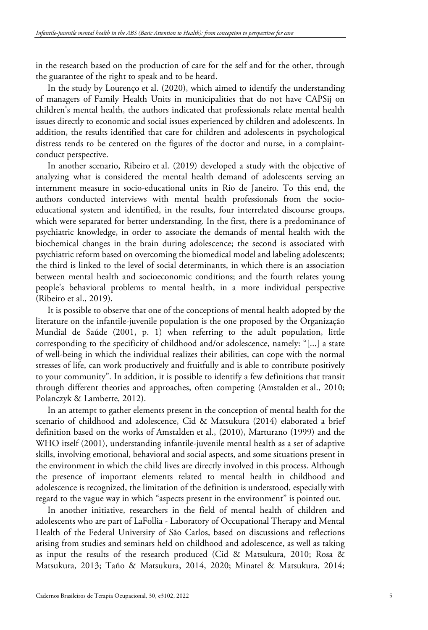in the research based on the production of care for the self and for the other, through the guarantee of the right to speak and to be heard.

In the study by Lourenço et al. (2020), which aimed to identify the understanding of managers of Family Health Units in municipalities that do not have CAPSij on children's mental health, the authors indicated that professionals relate mental health issues directly to economic and social issues experienced by children and adolescents. In addition, the results identified that care for children and adolescents in psychological distress tends to be centered on the figures of the doctor and nurse, in a complaintconduct perspective.

In another scenario, Ribeiro et al. (2019) developed a study with the objective of analyzing what is considered the mental health demand of adolescents serving an internment measure in socio-educational units in Rio de Janeiro. To this end, the authors conducted interviews with mental health professionals from the socioeducational system and identified, in the results, four interrelated discourse groups, which were separated for better understanding. In the first, there is a predominance of psychiatric knowledge, in order to associate the demands of mental health with the biochemical changes in the brain during adolescence; the second is associated with psychiatric reform based on overcoming the biomedical model and labeling adolescents; the third is linked to the level of social determinants, in which there is an association between mental health and socioeconomic conditions; and the fourth relates young people's behavioral problems to mental health, in a more individual perspective (Ribeiro et al., 2019).

It is possible to observe that one of the conceptions of mental health adopted by the literature on the infantile-juvenile population is the one proposed by the Organização Mundial de Saúde (2001, p. 1) when referring to the adult population, little corresponding to the specificity of childhood and/or adolescence, namely: "[...] a state of well-being in which the individual realizes their abilities, can cope with the normal stresses of life, can work productively and fruitfully and is able to contribute positively to your community". In addition, it is possible to identify a few definitions that transit through different theories and approaches, often competing (Amstalden et al., 2010; Polanczyk & Lamberte, 2012).

In an attempt to gather elements present in the conception of mental health for the scenario of childhood and adolescence, Cid & Matsukura (2014) elaborated a brief definition based on the works of Amstalden et al., (2010), Marturano (1999) and the WHO itself (2001), understanding infantile-juvenile mental health as a set of adaptive skills, involving emotional, behavioral and social aspects, and some situations present in the environment in which the child lives are directly involved in this process. Although the presence of important elements related to mental health in childhood and adolescence is recognized, the limitation of the definition is understood, especially with regard to the vague way in which "aspects present in the environment" is pointed out.

In another initiative, researchers in the field of mental health of children and adolescents who are part of LaFollia - Laboratory of Occupational Therapy and Mental Health of the Federal University of São Carlos, based on discussions and reflections arising from studies and seminars held on childhood and adolescence, as well as taking as input the results of the research produced (Cid & Matsukura, 2010; Rosa & Matsukura, 2013; Taño & Matsukura, 2014, 2020; Minatel & Matsukura, 2014;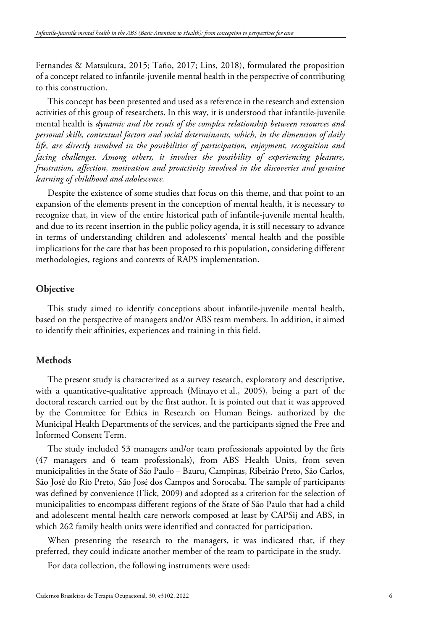Fernandes & Matsukura, 2015; Taño, 2017; Lins, 2018), formulated the proposition of a concept related to infantile-juvenile mental health in the perspective of contributing to this construction.

This concept has been presented and used as a reference in the research and extension activities of this group of researchers. In this way, it is understood that infantile-juvenile mental health is *dynamic and the result of the complex relationship between resources and personal skills, contextual factors and social determinants, which, in the dimension of daily life, are directly involved in the possibilities of participation, enjoyment, recognition and facing challenges. Among others, it involves the possibility of experiencing pleasure, frustration, affection, motivation and proactivity involved in the discoveries and genuine learning of childhood and adolescence.*

Despite the existence of some studies that focus on this theme, and that point to an expansion of the elements present in the conception of mental health, it is necessary to recognize that, in view of the entire historical path of infantile-juvenile mental health, and due to its recent insertion in the public policy agenda, it is still necessary to advance in terms of understanding children and adolescents' mental health and the possible implications for the care that has been proposed to this population, considering different methodologies, regions and contexts of RAPS implementation.

# **Objective**

This study aimed to identify conceptions about infantile-juvenile mental health, based on the perspective of managers and/or ABS team members. In addition, it aimed to identify their affinities, experiences and training in this field.

# **Methods**

The present study is characterized as a survey research, exploratory and descriptive, with a quantitative-qualitative approach (Minayo et al., 2005), being a part of the doctoral research carried out by the first author. It is pointed out that it was approved by the Committee for Ethics in Research on Human Beings, authorized by the Municipal Health Departments of the services, and the participants signed the Free and Informed Consent Term.

The study included 53 managers and/or team professionals appointed by the firts (47 managers and 6 team professionals), from ABS Health Units, from seven municipalities in the State of São Paulo – Bauru, Campinas, Ribeirão Preto, São Carlos, São José do Rio Preto, São José dos Campos and Sorocaba. The sample of participants was defined by convenience (Flick, 2009) and adopted as a criterion for the selection of municipalities to encompass different regions of the State of São Paulo that had a child and adolescent mental health care network composed at least by CAPSij and ABS, in which 262 family health units were identified and contacted for participation.

When presenting the research to the managers, it was indicated that, if they preferred, they could indicate another member of the team to participate in the study.

For data collection, the following instruments were used: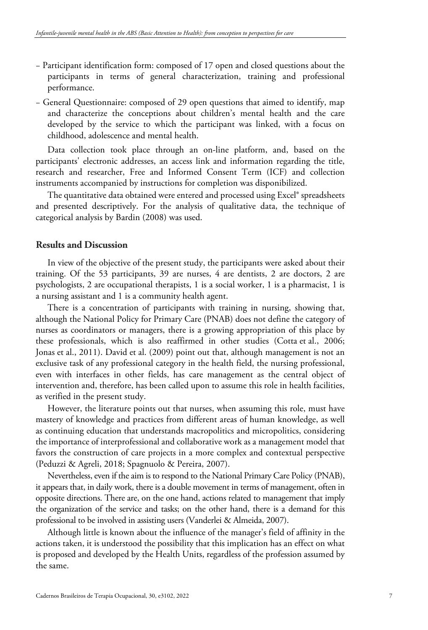- − Participant identification form: composed of 17 open and closed questions about the participants in terms of general characterization, training and professional performance.
- − General Questionnaire: composed of 29 open questions that aimed to identify, map and characterize the conceptions about children's mental health and the care developed by the service to which the participant was linked, with a focus on childhood, adolescence and mental health.

Data collection took place through an on-line platform, and, based on the participants' electronic addresses, an access link and information regarding the title, research and researcher, Free and Informed Consent Term (ICF) and collection instruments accompanied by instructions for completion was disponibilized.

The quantitative data obtained were entered and processed using Excel® spreadsheets and presented descriptively. For the analysis of qualitative data, the technique of categorical analysis by Bardin (2008) was used.

## **Results and Discussion**

In view of the objective of the present study, the participants were asked about their training. Of the 53 participants, 39 are nurses, 4 are dentists, 2 are doctors, 2 are psychologists, 2 are occupational therapists, 1 is a social worker, 1 is a pharmacist, 1 is a nursing assistant and 1 is a community health agent.

There is a concentration of participants with training in nursing, showing that, although the National Policy for Primary Care (PNAB) does not define the category of nurses as coordinators or managers, there is a growing appropriation of this place by these professionals, which is also reaffirmed in other studies (Cotta et al., 2006; Jonas et al., 2011). David et al. (2009) point out that, although management is not an exclusive task of any professional category in the health field, the nursing professional, even with interfaces in other fields, has care management as the central object of intervention and, therefore, has been called upon to assume this role in health facilities, as verified in the present study.

However, the literature points out that nurses, when assuming this role, must have mastery of knowledge and practices from different areas of human knowledge, as well as continuing education that understands macropolitics and micropolitics, considering the importance of interprofessional and collaborative work as a management model that favors the construction of care projects in a more complex and contextual perspective (Peduzzi & Agreli, 2018; Spagnuolo & Pereira, 2007).

Nevertheless, even if the aim is to respond to the National Primary Care Policy (PNAB), it appears that, in daily work, there is a double movement in terms of management, often in opposite directions. There are, on the one hand, actions related to management that imply the organization of the service and tasks; on the other hand, there is a demand for this professional to be involved in assisting users (Vanderlei & Almeida, 2007).

Although little is known about the influence of the manager's field of affinity in the actions taken, it is understood the possibility that this implication has an effect on what is proposed and developed by the Health Units, regardless of the profession assumed by the same.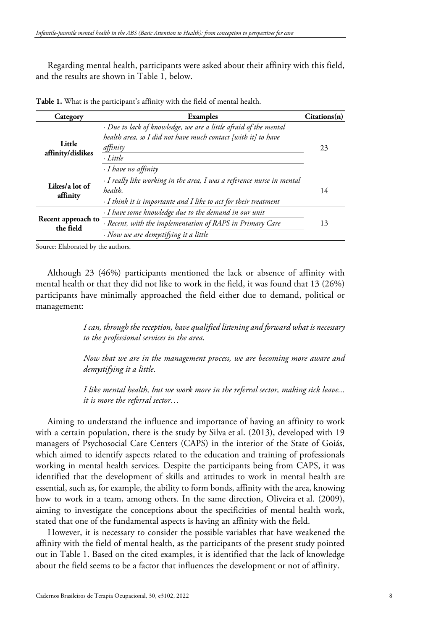Regarding mental health, participants were asked about their affinity with this field, and the results are shown in Table 1, below.

| Category                        | Examples                                                                                                                                                                                | Citations(n) |
|---------------------------------|-----------------------------------------------------------------------------------------------------------------------------------------------------------------------------------------|--------------|
| Little<br>affinity/dislikes     | · Due to lack of knowledge, we are a little afraid of the mental<br>health area, so I did not have much contact [with it] to have<br>affinity<br>· Little<br>$\cdot$ I have no affinity | 23           |
| Likes/a lot of<br>affinity      | · I really like working in the area, I was a reference nurse in mental<br>health.<br>· I think it is importante and I like to act for their treatment                                   | 14           |
| Recent approach to<br>the field | · I have some knowledge due to the demand in our unit<br>· Recent, with the implementation of RAPS in Primary Care<br>· Now we are demystifying it a little                             | 13           |

**Table 1.** What is the participant's affinity with the field of mental health.

Source: Elaborated by the authors.

Although 23 (46%) participants mentioned the lack or absence of affinity with mental health or that they did not like to work in the field, it was found that 13 (26%) participants have minimally approached the field either due to demand, political or management:

> *I can, through the reception, have qualified listening and forward what is necessary to the professional services in the area*.

> *Now that we are in the management process, we are becoming more aware and demystifying it a little*.

> *I like mental health, but we work more in the referral sector, making sick leave... it is more the referral sector…*

Aiming to understand the influence and importance of having an affinity to work with a certain population, there is the study by Silva et al. (2013), developed with 19 managers of Psychosocial Care Centers (CAPS) in the interior of the State of Goiás, which aimed to identify aspects related to the education and training of professionals working in mental health services. Despite the participants being from CAPS, it was identified that the development of skills and attitudes to work in mental health are essential, such as, for example, the ability to form bonds, affinity with the area, knowing how to work in a team, among others. In the same direction, Oliveira et al. (2009), aiming to investigate the conceptions about the specificities of mental health work, stated that one of the fundamental aspects is having an affinity with the field.

However, it is necessary to consider the possible variables that have weakened the affinity with the field of mental health, as the participants of the present study pointed out in Table 1. Based on the cited examples, it is identified that the lack of knowledge about the field seems to be a factor that influences the development or not of affinity.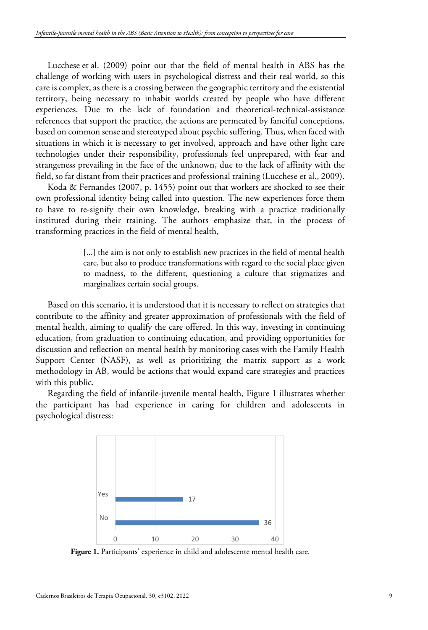Lucchese et al. (2009) point out that the field of mental health in ABS has the challenge of working with users in psychological distress and their real world, so this care is complex, as there is a crossing between the geographic territory and the existential territory, being necessary to inhabit worlds created by people who have different experiences. Due to the lack of foundation and theoretical-technical-assistance references that support the practice, the actions are permeated by fanciful conceptions, based on common sense and stereotyped about psychic suffering. Thus, when faced with situations in which it is necessary to get involved, approach and have other light care technologies under their responsibility, professionals feel unprepared, with fear and strangeness prevailing in the face of the unknown, due to the lack of affinity with the field, so far distant from their practices and professional training (Lucchese et al., 2009).

Koda & Fernandes (2007, p. 1455) point out that workers are shocked to see their own professional identity being called into question. The new experiences force them to have to re-signify their own knowledge, breaking with a practice traditionally instituted during their training. The authors emphasize that, in the process of transforming practices in the field of mental health,

> [...] the aim is not only to establish new practices in the field of mental health care, but also to produce transformations with regard to the social place given to madness, to the different, questioning a culture that stigmatizes and marginalizes certain social groups.

Based on this scenario, it is understood that it is necessary to reflect on strategies that contribute to the affinity and greater approximation of professionals with the field of mental health, aiming to qualify the care offered. In this way, investing in continuing education, from graduation to continuing education, and providing opportunities for discussion and reflection on mental health by monitoring cases with the Family Health Support Center (NASF), as well as prioritizing the matrix support as a work methodology in AB, would be actions that would expand care strategies and practices with this public.

Regarding the field of infantile-juvenile mental health, Figure 1 illustrates whether the participant has had experience in caring for children and adolescents in psychological distress:



Figure 1. Participants' experience in child and adolescente mental health care.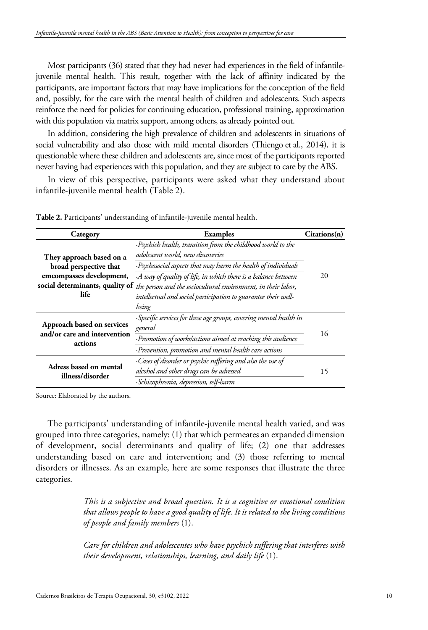Most participants (36) stated that they had never had experiences in the field of infantilejuvenile mental health. This result, together with the lack of affinity indicated by the participants, are important factors that may have implications for the conception of the field and, possibly, for the care with the mental health of children and adolescents. Such aspects reinforce the need for policies for continuing education, professional training, approximation with this population via matrix support, among others, as already pointed out.

In addition, considering the high prevalence of children and adolescents in situations of social vulnerability and also those with mild mental disorders (Thiengo et al., 2014), it is questionable where these children and adolescents are, since most of the participants reported never having had experiences with this population, and they are subject to care by the ABS.

In view of this perspective, participants were asked what they understand about infantile-juvenile mental health (Table 2).

| Category                                                                                                                  | <b>Examples</b>                                                                                                                                                                                                                     | Citations(n) |
|---------------------------------------------------------------------------------------------------------------------------|-------------------------------------------------------------------------------------------------------------------------------------------------------------------------------------------------------------------------------------|--------------|
| They approach based on a<br>broad perspective that<br>emcompasses development,<br>social determinants, quality of<br>life | ·Psychich health, transition from the childhood world to the<br>adolescent world, new discoveries<br>·Psychosocial aspects that may harm the health of individuals<br>A way of quality of life, in which there is a balance between | 20           |
|                                                                                                                           | the person and the sociocultural environment, in their labor,<br>intellectual and social participation to guarantee their well-<br>being                                                                                            |              |
| Approach based on services<br>and/or care and intervention                                                                | Specific services for these age groups, covering mental health in<br>general                                                                                                                                                        | 16           |
| actions                                                                                                                   | · Promotion of workslactions aimed at reaching this audience<br>·Prevention, promotion and mental health care actions                                                                                                               |              |
| Adress based on mental<br>illness/disorder                                                                                | ·Cases of disorder or psychic suffering and also the use of<br>alcohol and other drugs can be adressed<br>·Schizophrenia, depression, self-harm                                                                                     | 15           |

**Table 2.** Participants' understanding of infantile-juvenile mental health.

Source: Elaborated by the authors.

The participants' understanding of infantile-juvenile mental health varied, and was grouped into three categories, namely: (1) that which permeates an expanded dimension of development, social determinants and quality of life; (2) one that addresses understanding based on care and intervention; and (3) those referring to mental disorders or illnesses. As an example, here are some responses that illustrate the three categories.

> *This is a subjective and broad question. It is a cognitive or emotional condition that allows people to have a good quality of life. It is related to the living conditions of people and family members* (1).

> *Care for children and adolescentes who have psychich suffering that interferes with their development, relationships, learning, and daily life* (1).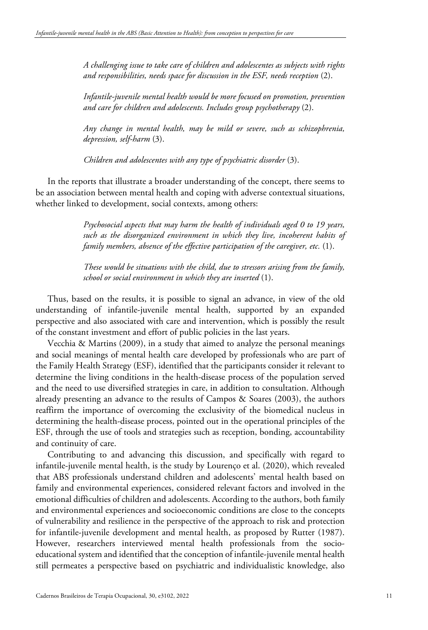*A challenging issue to take care of children and adolescentes as subjects with rights and responsibilities, needs space for discussion in the ESF, needs reception* (2).

*Infantile-juvenile mental health would be more focused on promotion, prevention and care for children and adolescents. Includes group psychotherapy* (2).

*Any change in mental health, may be mild or severe, such as schizophrenia, depression, self-harm* (3).

*Children and adolescentes with any type of psychiatric disorder* (3).

In the reports that illustrate a broader understanding of the concept, there seems to be an association between mental health and coping with adverse contextual situations, whether linked to development, social contexts, among others:

> *Psychosocial aspects that may harm the health of individuals aged 0 to 19 years, such as the disorganized environment in which they live, incoherent habits of family members, absence of the effective participation of the caregiver, etc.* (1).

> *These would be situations with the child, due to stressors arising from the family, school or social environment in which they are inserted* (1).

Thus, based on the results, it is possible to signal an advance, in view of the old understanding of infantile-juvenile mental health, supported by an expanded perspective and also associated with care and intervention, which is possibly the result of the constant investment and effort of public policies in the last years.

Vecchia & Martins (2009), in a study that aimed to analyze the personal meanings and social meanings of mental health care developed by professionals who are part of the Family Health Strategy (ESF), identified that the participants consider it relevant to determine the living conditions in the health-disease process of the population served and the need to use diversified strategies in care, in addition to consultation. Although already presenting an advance to the results of Campos & Soares (2003), the authors reaffirm the importance of overcoming the exclusivity of the biomedical nucleus in determining the health-disease process, pointed out in the operational principles of the ESF, through the use of tools and strategies such as reception, bonding, accountability and continuity of care.

Contributing to and advancing this discussion, and specifically with regard to infantile-juvenile mental health, is the study by Lourenço et al. (2020), which revealed that ABS professionals understand children and adolescents' mental health based on family and environmental experiences, considered relevant factors and involved in the emotional difficulties of children and adolescents. According to the authors, both family and environmental experiences and socioeconomic conditions are close to the concepts of vulnerability and resilience in the perspective of the approach to risk and protection for infantile-juvenile development and mental health, as proposed by Rutter (1987). However, researchers interviewed mental health professionals from the socioeducational system and identified that the conception of infantile-juvenile mental health still permeates a perspective based on psychiatric and individualistic knowledge, also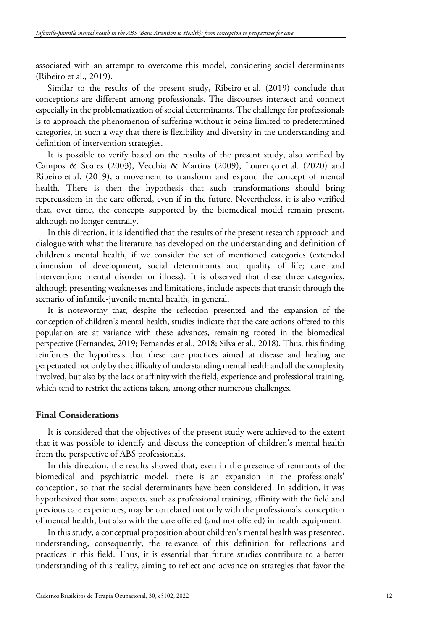associated with an attempt to overcome this model, considering social determinants (Ribeiro et al., 2019).

Similar to the results of the present study, Ribeiro et al. (2019) conclude that conceptions are different among professionals. The discourses intersect and connect especially in the problematization of social determinants. The challenge for professionals is to approach the phenomenon of suffering without it being limited to predetermined categories, in such a way that there is flexibility and diversity in the understanding and definition of intervention strategies.

It is possible to verify based on the results of the present study, also verified by Campos & Soares (2003), Vecchia & Martins (2009), Lourenço et al. (2020) and Ribeiro et al. (2019), a movement to transform and expand the concept of mental health. There is then the hypothesis that such transformations should bring repercussions in the care offered, even if in the future. Nevertheless, it is also verified that, over time, the concepts supported by the biomedical model remain present, although no longer centrally.

In this direction, it is identified that the results of the present research approach and dialogue with what the literature has developed on the understanding and definition of children's mental health, if we consider the set of mentioned categories (extended dimension of development, social determinants and quality of life; care and intervention; mental disorder or illness). It is observed that these three categories, although presenting weaknesses and limitations, include aspects that transit through the scenario of infantile-juvenile mental health, in general.

It is noteworthy that, despite the reflection presented and the expansion of the conception of children's mental health, studies indicate that the care actions offered to this population are at variance with these advances, remaining rooted in the biomedical perspective (Fernandes, 2019; Fernandes et al., 2018; Silva et al., 2018). Thus, this finding reinforces the hypothesis that these care practices aimed at disease and healing are perpetuated not only by the difficulty of understanding mental health and all the complexity involved, but also by the lack of affinity with the field, experience and professional training, which tend to restrict the actions taken, among other numerous challenges.

# **Final Considerations**

It is considered that the objectives of the present study were achieved to the extent that it was possible to identify and discuss the conception of children's mental health from the perspective of ABS professionals.

In this direction, the results showed that, even in the presence of remnants of the biomedical and psychiatric model, there is an expansion in the professionals' conception, so that the social determinants have been considered. In addition, it was hypothesized that some aspects, such as professional training, affinity with the field and previous care experiences, may be correlated not only with the professionals' conception of mental health, but also with the care offered (and not offered) in health equipment.

In this study, a conceptual proposition about children's mental health was presented, understanding, consequently, the relevance of this definition for reflections and practices in this field. Thus, it is essential that future studies contribute to a better understanding of this reality, aiming to reflect and advance on strategies that favor the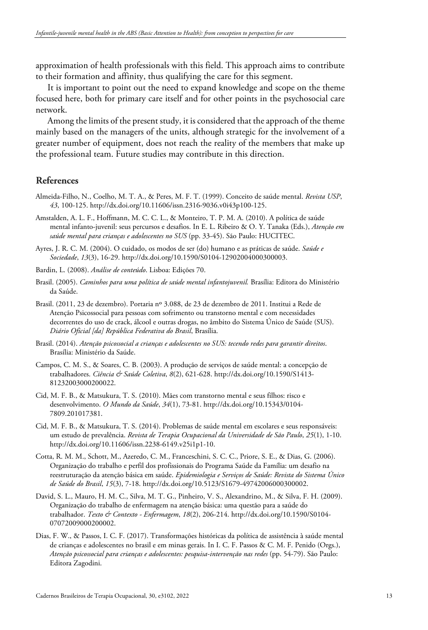approximation of health professionals with this field. This approach aims to contribute to their formation and affinity, thus qualifying the care for this segment.

It is important to point out the need to expand knowledge and scope on the theme focused here, both for primary care itself and for other points in the psychosocial care network.

Among the limits of the present study, it is considered that the approach of the theme mainly based on the managers of the units, although strategic for the involvement of a greater number of equipment, does not reach the reality of the members that make up the professional team. Future studies may contribute in this direction.

## **References**

- Almeida-Filho, N., Coelho, M. T. A., & Peres, M. F. T. (1999). Conceito de saúde mental. *Revista USP*, *43*, 100-125. http://dx.doi.org/10.11606/issn.2316-9036.v0i43p100-125.
- Amstalden, A. L. F., Hoffmann, M. C. C. L., & Monteiro, T. P. M. A. (2010). A política de saúde mental infanto-juvenil: seus percursos e desafios. In E. L. Ribeiro & O. Y. Tanaka (Eds.), *Atenção em saúde mental para crianças e adolescentes no SUS* (pp. 33-45). São Paulo: HUCITEC.
- Ayres, J. R. C. M. (2004). O cuidado, os modos de ser (do) humano e as práticas de saúde. *Saúde e Sociedade*, *13*(3), 16-29[. http://dx.doi.org/10.1590/S0104-12902004000300003.](https://doi.org/10.1590/S0104-12902004000300003)
- Bardin, L. (2008). *Análise de conteúdo*. Lisboa: Edições 70.
- Brasil. (2005). *Caminhos para uma política de saúde mental infantojuvenil.* Brasília: Editora do Ministério da Saúde.
- Brasil. (2011, 23 de dezembro). Portaria nº 3.088, de 23 de dezembro de 2011. Institui a Rede de Atenção Psicossocial para pessoas com sofrimento ou transtorno mental e com necessidades decorrentes do uso de crack, álcool e outras drogas, no âmbito do Sistema Único de Saúde (SUS). *Diário Oficial [da] República Federativa do Brasil*, Brasília.
- Brasil. (2014). *Atenção psicossocial a crianças e adolescentes no SUS: tecendo redes para garantir direitos*. Brasília: Ministério da Saúde.
- Campos, C. M. S., & Soares, C. B. (2003). A produção de serviços de saúde mental: a concepção de trabalhadores. *Ciência & Saúde Coletiva*, *8*(2), 621-628[. http://dx.doi.org/10.1590/S1413-](https://doi.org/10.1590/S1413-81232003000200022) [81232003000200022.](https://doi.org/10.1590/S1413-81232003000200022)
- Cid, M. F. B., & Matsukura, T. S. (2010). Mães com transtorno mental e seus filhos: risco e desenvolvimento. *O Mundo da Saúde*, *34*(1), 73-81[. http://dx.doi.org/10.15343/0104-](https://doi.org/10.15343/0104-7809.201017381) [7809.201017381.](https://doi.org/10.15343/0104-7809.201017381)
- Cid, M. F. B., & Matsukura, T. S. (2014). Problemas de saúde mental em escolares e seus responsáveis: um estudo de prevalência. *Revista de Terapia Ocupacional da Universidade de São Paulo*, *25*(1), 1-10. [http://dx.doi.org/10.11606/issn.2238-6149.v25i1p1-10.](https://doi.org/10.11606/issn.2238-6149.v25i1p1-10)
- Cotta, R. M. M., Schott, M., Azeredo, C. M., Franceschini, S. C. C., Priore, S. E., & Dias, G. (2006). Organização do trabalho e perfil dos profissionais do Programa Saúde da Família: um desafio na reestruturação da atenção básica em saúde. *Epidemiologia e Serviços de Saúde: Revista do Sistema Único de Saúde do Brasil*, *15*(3), 7-18. http://dx.doi.org/10.5123/S1679-49742006000300002.
- David, S. L., Mauro, H. M. C., Silva, M. T. G., Pinheiro, V. S., Alexandrino, M., & Silva, F. H. (2009). Organização do trabalho de enfermagem na atenção básica: uma questão para a saúde do trabalhador. *Texto & Contexto - Enfermagem*, *18*(2), 206-214[. http://dx.doi.org/10.1590/S0104-](https://doi.org/10.1590/S0104-07072009000200002) [07072009000200002.](https://doi.org/10.1590/S0104-07072009000200002)
- <span id="page-12-0"></span>Dias, F. W., & Passos, I. C. F. (2017). Transformações históricas da política de assistência à saúde mental de crianças e adolescentes no brasil e em minas gerais. In I. C. F. Passos & C. M. F. Penido (Orgs.), *Atenção psicossocial para crianças e adolescentes: pesquisa-intervenção nas redes* (pp. 54-79). São Paulo: Editora Zagodini.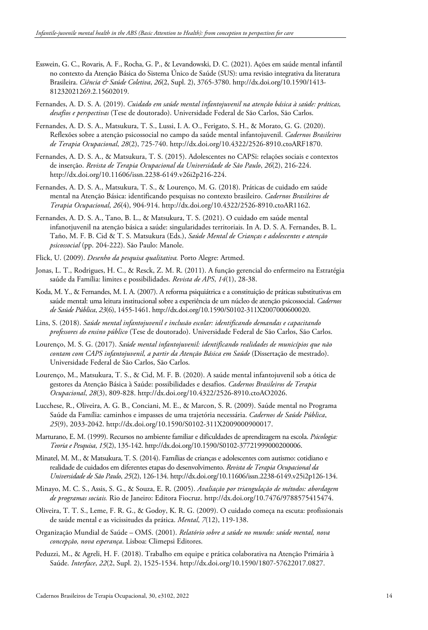- Esswein, G. C., Rovaris, A. F., Rocha, G. P., & Levandowski, D. C. (2021). Ações em saúde mental infantil no contexto da Atenção Básica do Sistema Único de Saúde (SUS): uma revisão integrativa da literatura Brasileira. *Ciência & Saúde Coletiva*, *26*(2, Supl. 2), 3765-3780[. http://dx.doi.org/10.1590/1413-](https://doi.org/10.1590/1413-81232021269.2.15602019) [81232021269.2.15602019.](https://doi.org/10.1590/1413-81232021269.2.15602019)
- Fernandes, A. D. S. A. (2019). *Cuidado em saúde mental infantojuvenil na atenção básica à saúde: práticas, desafios e perspectivas* (Tese de doutorado). Universidade Federal de São Carlos, São Carlos.
- Fernandes, A. D. S. A., Matsukura, T. S., Lussi, I. A. O., Ferigato, S. H., & Morato, G. G. (2020). Reflexões sobre a atenção psicossocial no campo da saúde mental infantojuvenil. *Cadernos Brasileiros de Terapia Ocupacional*, *28*(2), 725-740[. http://dx.doi.org/10.4322/2526-8910.ctoARF1870.](https://doi.org/10.4322/2526-8910.ctoARF1870)
- Fernandes, A. D. S. A., & Matsukura, T. S. (2015). Adolescentes no CAPSi: relações sociais e contextos de inserção. *Revista de Terapia Ocupacional da Universidade de São Paulo*, *26*(2), 216-224. [http://dx.doi.org/10.11606/issn.2238-6149.v26i2p216-224.](https://doi.org/10.11606/issn.2238-6149.v26i2p216-224)
- Fernandes, A. D. S. A., Matsukura, T. S., & Lourenço, M. G. (2018). Práticas de cuidado em saúde mental na Atenção Básica: identificando pesquisas no contexto brasileiro. *Cadernos Brasileiros de Terapia Ocupacional*, *26*(4), 904-914. [http://dx.doi.org/10.4322/2526-8910.ctoAR1162.](https://doi.org/10.4322/2526-8910.ctoAR1162)
- Fernandes, A. D. S. A., Tano, B. L., & Matsukura, T. S. (2021). O cuidado em saúde mental infanotjuvenil na atenção básica a saúde: singularidades territoriais. In A. D. S. A. Fernandes, B. L. Taño, M. F. B. Cid & T. S. Matsukura (Eds.), *Saúde Mental de Crianças e adolescentes e atenção psicossocial* (pp. 204-222). São Paulo: Manole.
- Flick, U. (2009). *Desenho da pesquisa qualitativa.* Porto Alegre: Artmed.
- Jonas, L. T., Rodrigues, H. C., & Resck, Z. M. R. (2011). A função gerencial do enfermeiro na Estratégia saúde da Família: limites e possibilidades. *Revista de APS*, *14*(1), 28-38.
- Koda, M. Y., & Fernandes, M. I. A. (2007). A reforma psiquiátrica e a constituição de práticas substitutivas em saúde mental: uma leitura institucional sobre a experiência de um núcleo de atenção psicossocial. *Cadernos de Saúde Pública*, *23*(6), 1455-1461[. http://dx.doi.org/10.1590/S0102-311X2007000600020.](https://doi.org/10.1590/S0102-311X2007000600020)
- Lins, S. (2018). *Saúde mental infantojuvenil e inclusão escolar: identificando demandas e capacitando professores do ensino público* (Tese de doutorado). Universidade Federal de São Carlos, São Carlos.
- Lourenço, M. S. G. (2017). *Saúde mental infantojuvenil: identificando realidades de municípios que não contam com CAPS infantojuvenil, a partir da Atenção Básica em Saúde* (Dissertação de mestrado). Universidade Federal de São Carlos, São Carlos.
- Lourenço, M., Matsukura, T. S., & Cid, M. F. B. (2020). A saúde mental infantojuvenil sob a ótica de gestores da Atenção Básica à Saúde: possibilidades e desafios. *Cadernos Brasileiros de Terapia Ocupacional*, *28*(3), 809-828. [http://dx.doi.org/10.4322/2526-8910.ctoAO2026.](https://doi.org/10.4322/2526-8910.ctoAO2026)
- Lucchese, R., Oliveira, A. G. B., Conciani, M. E., & Marcon, S. R. (2009). Saúde mental no Programa Saúde da Família: caminhos e impasses de uma trajetória necessária. *Cadernos de Saúde Pública*, *25*(9), 2033-2042[. http://dx.doi.org/10.1590/S0102-311X2009000900017.](https://doi.org/10.1590/S0102-311X2009000900017)
- Marturano, E. M. (1999). Recursos no ambiente familiar e dificuldades de aprendizagem na escola. *Psicologia: Teoria e Pesquisa*, *15*(2), 135-142[. http://dx.doi.org/10.1590/S0102-37721999000200006.](https://doi.org/10.1590/S0102-37721999000200006)
- Minatel, M. M., & Matsukura, T. S. (2014). Famílias de crianças e adolescentes com autismo: cotidiano e realidade de cuidados em diferentes etapas do desenvolvimento. *Revista de Terapia Ocupacional da Universidade de São Paulo*, *25*(2), 126-134[. http://dx.doi.org/10.11606/issn.2238-6149.v25i2p126-134.](https://doi.org/10.11606/issn.2238-6149.v25i2p126-134)
- Minayo, M. C. S., Assis, S. G., & Souza, E. R. (2005). *Avaliação por triangulação de métodos: abordagem de programas sociais.* Rio de Janeiro: Editora Fiocruz[. http://dx.doi.org/10.7476/9788575415474.](https://doi.org/10.7476/9788575415474)
- Oliveira, T. T. S., Leme, F. R. G., & Godoy, K. R. G. (2009). O cuidado começa na escuta: profissionais de saúde mental e as vicissitudes da prática. *Mental*, *7*(12), 119-138.
- Organização Mundial de Saúde OMS. (2001). *Relatório sobre a saúde no mundo: saúde mental, nova concepção, nova esperança*. Lisboa: Climepsi Editores.
- Peduzzi, M., & Agreli, H. F. (2018). Trabalho em equipe e prática colaborativa na Atenção Primária à Saúde. *Interface*, *22*(2, Supl. 2), 1525-1534[. http://dx.doi.org/10.1590/1807-57622017.0827.](https://doi.org/10.1590/1807-57622017.0827)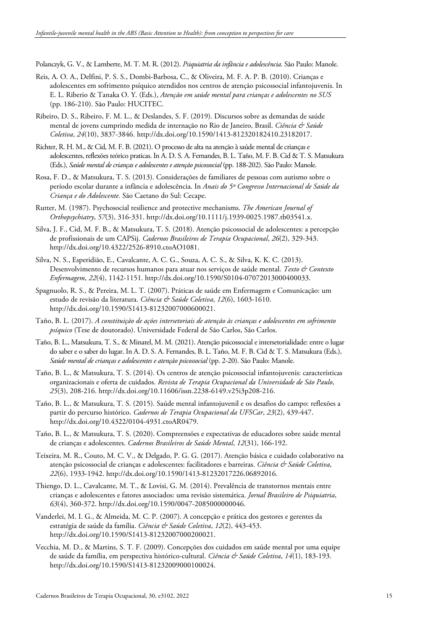Polanczyk, G. V., & Lamberte, M. T. M. R. (2012). *Psiquiatria da infância e adolescência.* São Paulo: Manole.

- Reis, A. O. A., Delfini, P. S. S., Dombi-Barbosa, C., & Oliveira, M. F. A. P. B. (2010). Crianças e adolescentes em sofrimento psíquico atendidos nos centros de atenção psicossocial infantojuvenis. In E. L. Riberio & Tanaka O. Y. (Eds.), *Atenção em saúde mental para crianças e adolescentes no SUS* (pp. 186-210). São Paulo: HUCITEC.
- Ribeiro, D. S., Ribeiro, F. M. L., & Deslandes, S. F. (2019). Discursos sobre as demandas de saúde mental de jovens cumprindo medida de internação no Rio de Janeiro, Brasil. *Ciência & Saúde Coletiva*, *24*(10), 3837-3846. [http://dx.doi.org/10.1590/1413-812320182410.23182017.](https://doi.org/10.1590/1413-812320182410.23182017)
- Richter, R. H. M., & Cid, M. F. B. (2021). O processo de alta na atenção à saúde mental de crianças e adolescentes, reflexões teórico praticas. In A. D. S. A. Fernandes, B. L. Taño, M. F. B. Cid & T. S. Matsukura (Eds.), *Saúde mental de crianças e adolescentes e atenção psicossocial* (pp. 188-202). São Paulo: Manole.
- Rosa, F. D., & Matsukura, T. S. (2013). Considerações de familiares de pessoas com autismo sobre o período escolar durante a infância e adolescência. In *Anais do 5º Congresso Internacional de Saúde da Criança e do Adolescente.* São Caetano do Sul: Cecape.
- Rutter, M. (1987). Psychosocial resilience and protective mechanisms. *The American Journal of Orthopsychiatry*, *57*(3), 316-331[. http://dx.doi.org/10.1111/j.1939-0025.1987.tb03541.x.](https://doi.org/10.1111/j.1939-0025.1987.tb03541.x)
- Silva, J. F., Cid, M. F. B., & Matsukura, T. S. (2018). Atenção psicossocial de adolescentes: a percepção de profissionais de um CAPSij. *Cadernos Brasileiros de Terapia Ocupacional*, *26*(2), 329-343. [http://dx.doi.org/10.4322/2526-8910.ctoAO1081.](https://doi.org/10.4322/2526-8910.ctoAO1081)
- Silva, N. S., Esperidião, E., Cavalcante, A. C. G., Souza, A. C. S., & Silva, K. K. C. (2013). Desenvolvimento de recursos humanos para atuar nos serviços de saúde mental. *Texto & Contexto Enfermagem*, *22*(4), 1142-1151. [http://dx.doi.org/10.1590/S0104-07072013000400033.](https://doi.org/10.1590/S0104-07072013000400033)
- Spagnuolo, R. S., & Pereira, M. L. T. (2007). Práticas de saúde em Enfermagem e Comunicação: um estudo de revisão da literatura. *Ciência & Saúde Coletiva*, *12*(6), 1603-1610. [http://dx.doi.org/10.1590/S1413-81232007000600021.](https://doi.org/10.1590/S1413-81232007000600021)
- Taño, B. L. (2017). *A constituição de ações intersetoriais de atenção às crianças e adolescentes em sofrimento psíquico* (Tese de doutorado). Universidade Federal de São Carlos, São Carlos.
- Taño, B. L., Matsukura, T. S., & Minatel, M. M. (2021). Atenção psicossocial e intersetorialidade: entre o lugar do saber e o saber do lugar. In A. D. S. A. Fernandes, B. L. Taño, M. F. B. Cid & T. S. Matsukura (Eds.), *Saúde mental de crianças e adolescentes e atenção psicossocial* (pp. 2-20). São Paulo: Manole.
- Taño, B. L., & Matsukura, T. S. (2014). Os centros de atenção psicossocial infantojuvenis: características organizacionais e oferta de cuidados. *Revista de Terapia Ocupacional da Universidade de São Paulo*, *25*(3), 208-216[. http://dx.doi.org/10.11606/issn.2238-6149.v25i3p208-216.](https://doi.org/10.11606/issn.2238-6149.v25i3p208-216)
- Taño, B. L., & Matsukura, T. S. (2015). Saúde mental infantojuvenil e os desafios do campo: reflexões a partir do percurso histórico. *Cadernos de Terapia Ocupacional da UFSCar*, *23*(2), 439-447. [http://dx.doi.org/10.4322/0104-4931.ctoAR0479.](https://doi.org/10.4322/0104-4931.ctoAR0479)
- Taño, B. L., & Matsukura, T. S. (2020). Compreensões e expectativas de educadores sobre saúde mental de crianças e adolescentes. *Cadernos Brasileiros de Saúde Mental*, *12*(31), 166-192.
- Teixeira, M. R., Couto, M. C. V., & Delgado, P. G. G. (2017). Atenção básica e cuidado colaborativo na atenção psicossocial de crianças e adolescentes: facilitadores e barreiras. *Ciência & Saúde Coletiva*, *22*(6), 1933-1942[. http://dx.doi.org/10.1590/1413-81232017226.06892016.](https://doi.org/10.1590/1413-81232017226.06892016)
- Thiengo, D. L., Cavalcante, M. T., & Lovisi, G. M. (2014). Prevalência de transtornos mentais entre crianças e adolescentes e fatores associados: uma revisão sistemática. *Jornal Brasileiro de Psiquiatria*, *63*(4), 360-372[. http://dx.doi.org/10.1590/0047-2085000000046.](https://doi.org/10.1590/0047-2085000000046)
- Vanderlei, M. I. G., & Almeida, M. C. P. (2007). A concepção e prática dos gestores e gerentes da estratégia de saúde da família. *Ciência & Saúde Coletiva*, *12*(2), 443-453. [http://dx.doi.org/10.1590/S1413-81232007000200021.](https://doi.org/10.1590/S1413-81232007000200021)
- Vecchia, M. D., & Martins, S. T. F. (2009). Concepções dos cuidados em saúde mental por uma equipe de saúde da família, em perspectiva histórico-cultural. *Ciência & Saúde Coletiva*, *14*(1), 183-193. [http://dx.doi.org/10.1590/S1413-81232009000100024.](https://doi.org/10.1590/S1413-81232009000100024)